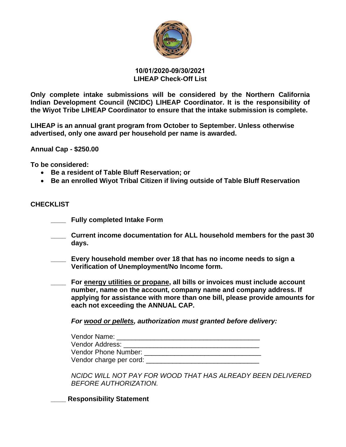

### **10/01/2020-09/30/2021 LIHEAP Check-Off List**

**Only complete intake submissions will be considered by the Northern California Indian Development Council (NCIDC) LIHEAP Coordinator. It is the responsibility of the Wiyot Tribe LIHEAP Coordinator to ensure that the intake submission is complete.** 

**LIHEAP is an annual grant program from October to September. Unless otherwise advertised, only one award per household per name is awarded.** 

**Annual Cap - \$250.00** 

**To be considered:** 

- **Be a resident of Table Bluff Reservation; or**
- **Be an enrolled Wiyot Tribal Citizen if living outside of Table Bluff Reservation**

### **CHECKLIST**

- **\_\_\_\_ Fully completed Intake Form**
- **\_\_\_\_ Current income documentation for ALL household members for the past 30 days.**
- **\_\_\_\_ Every household member over 18 that has no income needs to sign a Verification of Unemployment/No Income form.**
- **\_\_\_\_ For energy utilities or propane, all bills or invoices must include account number, name on the account, company name and company address. If applying for assistance with more than one bill, please provide amounts for each not exceeding the ANNUAL CAP.**

*For wood or pellets, authorization must granted before delivery:*

| Vendor Name:            |  |
|-------------------------|--|
| Vendor Address:         |  |
| Vendor Phone Number:    |  |
| Vendor charge per cord: |  |

*NCIDC WILL NOT PAY FOR WOOD THAT HAS ALREADY BEEN DELIVERED BEFORE AUTHORIZATION.*

**\_\_\_\_ Responsibility Statement**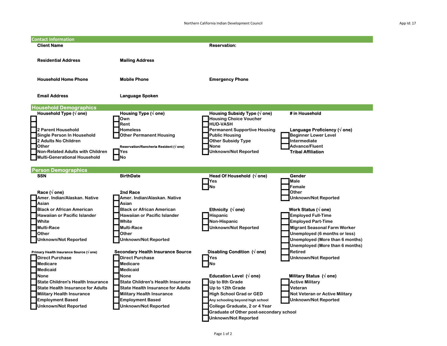| <b>Contact Information</b>                                                                                                                                                                                                                                                                                   |                                                                                                                                                                                                                                                                                                        |                                                                                                                                                                                                                                                              |                                                                                                                                                                                                                                                                                                            |
|--------------------------------------------------------------------------------------------------------------------------------------------------------------------------------------------------------------------------------------------------------------------------------------------------------------|--------------------------------------------------------------------------------------------------------------------------------------------------------------------------------------------------------------------------------------------------------------------------------------------------------|--------------------------------------------------------------------------------------------------------------------------------------------------------------------------------------------------------------------------------------------------------------|------------------------------------------------------------------------------------------------------------------------------------------------------------------------------------------------------------------------------------------------------------------------------------------------------------|
| <b>Client Name</b>                                                                                                                                                                                                                                                                                           |                                                                                                                                                                                                                                                                                                        | <b>Reservation:</b>                                                                                                                                                                                                                                          |                                                                                                                                                                                                                                                                                                            |
| <b>Residential Address</b>                                                                                                                                                                                                                                                                                   | <b>Mailing Address</b>                                                                                                                                                                                                                                                                                 |                                                                                                                                                                                                                                                              |                                                                                                                                                                                                                                                                                                            |
| <b>Household Home Phone</b>                                                                                                                                                                                                                                                                                  | <b>Mobile Phone</b>                                                                                                                                                                                                                                                                                    | <b>Emergency Phone</b>                                                                                                                                                                                                                                       |                                                                                                                                                                                                                                                                                                            |
| <b>Email Address</b>                                                                                                                                                                                                                                                                                         | Language Spoken                                                                                                                                                                                                                                                                                        |                                                                                                                                                                                                                                                              |                                                                                                                                                                                                                                                                                                            |
| <b>Household Demographics</b>                                                                                                                                                                                                                                                                                |                                                                                                                                                                                                                                                                                                        |                                                                                                                                                                                                                                                              |                                                                                                                                                                                                                                                                                                            |
| Household Type $(\sqrt{$ one)<br>2 Parent Household<br><b>Single Person In Household</b><br>2 Adults No Children<br>Other<br><b>Non-Related Adults with Children</b><br><b>Multi-Generational Household</b>                                                                                                  | Housing Type ( $\sqrt{ }$ one)<br>lOwn<br>Rent<br><b>Homeless</b><br><b>Other Permanent Housing</b><br>Reservation/Rancheria Resident ( $\sqrt{$ one)<br><b>IYes</b><br><b>INo</b>                                                                                                                     | Housing Subsidy Type ( $\sqrt{ }$ one)<br><b>Housing Choice Voucher</b><br><b>HUD-VASH</b><br><b>Permanent Supportive Housing</b><br><b>Public Housing</b><br><b>Other Subsidy Type</b><br>None<br><b>Unknown/Not Reported</b>                               | # in Household<br>Language Proficiency $(\sqrt{ }$ one)<br><b>Beainner Lower Level</b><br>Intermediate<br><b>Advance/Fluent</b><br><b>Tribal Affiliation</b>                                                                                                                                               |
| <b>Person Demographics</b>                                                                                                                                                                                                                                                                                   |                                                                                                                                                                                                                                                                                                        |                                                                                                                                                                                                                                                              |                                                                                                                                                                                                                                                                                                            |
| <b>SSN</b>                                                                                                                                                                                                                                                                                                   | <b>BirthDate</b>                                                                                                                                                                                                                                                                                       | Head Of Household $(\sqrt{$ one)                                                                                                                                                                                                                             | <b>Gender</b>                                                                                                                                                                                                                                                                                              |
| Race ( $\sqrt{ }$ one)<br>Amer. Indian/Alaskan. Native<br>Asian<br><b>Black or African American</b><br><b>Hawaiian or Pacific Islander</b><br>White<br><b>Multi-Race</b><br>Other<br><b>Unknown/Not Reported</b>                                                                                             | 2nd Race<br>Amer. Indian/Alaskan. Native<br>Asian<br><b>Black or African American</b><br><b>Hawaiian or Pacific Islander</b><br>White<br><b>Multi-Race</b><br>Other<br>Unknown/Not Reported                                                                                                            | Yes<br>No<br>Ethnicity $(\sqrt{$ one)<br><b>Hispanic</b><br>Non-Hispanic<br><b>Unknown/Not Reported</b><br>Disabling Condition $(\sqrt{ }$ one)                                                                                                              | Male<br>Female<br>Other<br><b>Unknown/Not Reported</b><br>Work Status ( $\sqrt{ }$ one)<br><b>Employed Full-Time</b><br><b>Employed Part-Time</b><br><b>Migrant Seasonal Farm Worker</b><br>Unemployed (6 months or less)<br>Unemployed (More than 6 months)<br>Unemployed (More than 6 months)<br>Retired |
| Primary Health Insurance Source (√ one)<br><b>Direct Purchase</b><br><b>Medicare</b><br><b>Medicaid</b><br><b>None</b><br><b>State Children's Health Insurance</b><br><b>State Health Insurance for Adults</b><br><b>Military Health Insurance</b><br><b>Employment Based</b><br><b>Unknown/Not Reported</b> | <b>Secondary Health Insurance Source</b><br><b>Direct Purchase</b><br><b>Medicare</b><br><b>Medicaid</b><br><b>None</b><br><b>State Children's Health Insurance</b><br><b>State Health Insurance for Adults</b><br><b>Military Health Insurance</b><br><b>Employment Based</b><br>Unknown/Not Reported | Yes<br>No<br>Education Level $(\sqrt{$ one)<br>Up to 8th Grade<br>Up to 12th Grade<br><b>High School Grad or GED</b><br>Any schooling beyond high school<br>College Graduate, 2 or 4 Year<br>Graduate of Other post-secondary school<br>Unknown/Not Reported | <b>Unknown/Not Reported</b><br>Military Status $(\sqrt{$ one)<br><b>Active Military</b><br>Veteran<br><b>Not Veteran or Active Military</b><br><b>Unknown/Not Reported</b>                                                                                                                                 |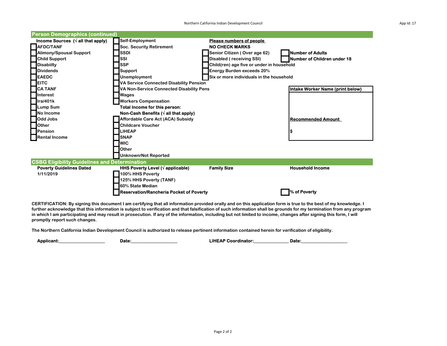Northern California Indian Development Council and the state of the state of the state of the App Id: 17

| <b>Person Demographics (continued)</b>               |                                                             |                                           |                                    |
|------------------------------------------------------|-------------------------------------------------------------|-------------------------------------------|------------------------------------|
| Income Sources $(\sqrt{a}$ ll that apply)            | <b>Self-Employment</b>                                      | <b>Please numbers of people</b>           |                                    |
| <b>AFDC/TANF</b>                                     | <b>Soc. Security Retirement</b>                             | <b>NO CHECK MARKS</b>                     |                                    |
| Alimony/Spousal Support                              | <b>SSDI</b>                                                 | Senior Citizen (Over age 62)              | <b>Number of Adults</b>            |
| <b>Child Support</b>                                 | SSI                                                         | Disabled (receiving SSI)                  | <b>Number of Children under 18</b> |
| <b>Disabiilty</b>                                    | <b>SSP</b>                                                  | Child(ren) age five or under in household |                                    |
| <b>Dividends</b>                                     | <b>Support</b>                                              | <b>Energy Burden exceeds 20%</b>          |                                    |
| <b>EAEDC</b>                                         | Unemployment                                                | Six or more individuals in the household  |                                    |
| <b>EITC</b>                                          | <b>VA Service Connected Disability Pension</b>              |                                           |                                    |
| <b>CA TANF</b>                                       | <b>VA Non-Service Connected Disability Pens</b>             |                                           | Intake Worker Name (print below)   |
| Interest                                             | <b>Wages</b>                                                |                                           |                                    |
| Ira/401k                                             | <b>Workers Compensation</b>                                 |                                           |                                    |
| <b>Lump Sum</b>                                      | Total Income for this person:                               |                                           |                                    |
| No Income                                            | Non-Cash Benefits ( $\sqrt{ }$ all that apply)              |                                           |                                    |
| Odd Jobs                                             | Affordable Care Act (ACA) Subsidy                           |                                           | l Recommended Amount               |
| Other                                                | Childcare Voucher                                           |                                           |                                    |
| Pension                                              | <b>LIHEAP</b>                                               |                                           |                                    |
| <b>Rental Income</b>                                 | <b>SNAP</b>                                                 |                                           |                                    |
|                                                      | <b>WIC</b>                                                  |                                           |                                    |
|                                                      | Other                                                       |                                           |                                    |
|                                                      | <b>Unknown/Not Reported</b>                                 |                                           |                                    |
| <b>CSBG Eligibility Guidelines and Determination</b> |                                                             |                                           |                                    |
| <b>Poverty Guidelines Dated</b>                      | <b>HHS Poverty Level (<math>\sqrt{ }</math> applicable)</b> | <b>Family Size</b>                        | <b>Household Income</b>            |
| 1/11/2019                                            | 100% HHS Poverty                                            |                                           |                                    |
|                                                      | 125% HHS Poverty (TANF)                                     |                                           |                                    |
|                                                      | 60% State Median                                            |                                           |                                    |
|                                                      | <b>IReservation/Rancheria Pocket of Poverty</b>             |                                           | % of Poverty                       |

CERTIFICATION: By signing this document I am certifying that all information provided orally and on this application form is true to the best of my knowledge. I further acknowledge that this information is subject to verification and that falsification of such information shall be grounds for my termination from any program in which I am participating and may result in prosecution. If any of the information, including but not limited to income, changes after signing this form, I will promptly report such changes.

The Northern California Indian Development Council is authorized to release pertinent information contained herein for verification of eligibility.

Applicant:\_\_\_\_\_\_\_\_\_\_\_\_\_\_\_\_\_\_\_\_\_ Date:\_\_\_\_\_\_\_\_\_\_\_\_\_\_\_\_\_\_\_\_\_ LIHEAP Coordinator:\_\_\_\_\_\_\_\_\_\_\_\_\_\_\_\_\_\_\_\_\_ Date:\_\_\_\_\_\_\_\_\_\_\_\_\_\_\_\_\_\_\_\_\_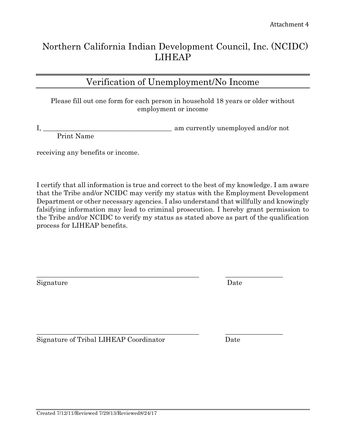# Northern California Indian Development Council, Inc. (NCIDC) LIHEAP

## Verification of Unemployment/No Income

Please fill out one form for each person in household 18 years or older without employment or income

I, \_\_\_\_\_\_\_\_\_\_\_\_\_\_\_\_\_\_\_\_\_\_\_\_\_\_\_\_\_\_\_\_\_\_\_\_\_\_ am currently unemployed and/or not Print Name

receiving any benefits or income.

I certify that all information is true and correct to the best of my knowledge. I am aware that the Tribe and/or NCIDC may verify my status with the Employment Development Department or other necessary agencies. I also understand that willfully and knowingly falsifying information may lead to criminal prosecution. I hereby grant permission to the Tribe and/or NCIDC to verify my status as stated above as part of the qualification process for LIHEAP benefits.

Signature Date

Signature of Tribal LIHEAP Coordinator Date

\_\_\_\_\_\_\_\_\_\_\_\_\_\_\_\_\_\_\_\_\_\_\_\_\_\_\_\_\_\_\_\_\_\_\_\_\_\_\_\_\_\_\_\_\_\_\_\_ \_\_\_\_\_\_\_\_\_\_\_\_\_\_\_\_\_

\_\_\_\_\_\_\_\_\_\_\_\_\_\_\_\_\_\_\_\_\_\_\_\_\_\_\_\_\_\_\_\_\_\_\_\_\_\_\_\_\_\_\_\_\_\_\_\_ \_\_\_\_\_\_\_\_\_\_\_\_\_\_\_\_\_